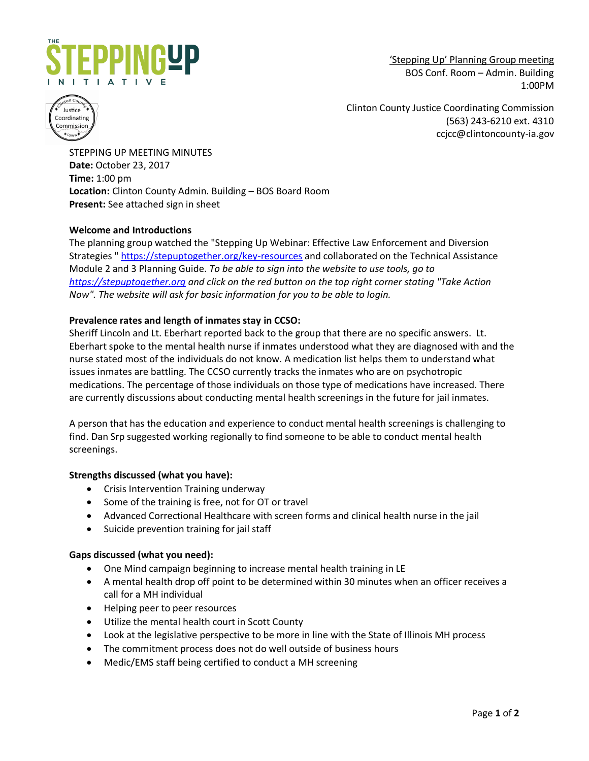

'Stepping Up' Planning Group meeting BOS Conf. Room – Admin. Building 1:00PM



Clinton County Justice Coordinating Commission (563) 243-6210 ext. 4310 ccjcc@clintoncounty-ia.gov

STEPPING UP MEETING MINUTES **Date:** October 23, 2017 **Time:** 1:00 pm **Location:** Clinton County Admin. Building – BOS Board Room **Present:** See attached sign in sheet

# **Welcome and Introductions**

The planning group watched the "Stepping Up Webinar: Effective Law Enforcement and Diversion Strategies " <https://stepuptogether.org/key-resources> and collaborated on the Technical Assistance Module 2 and 3 Planning Guide. *To be able to sign into the website to use tools, go to [https://stepuptogether.org](https://stepuptogether.org/) and click on the red button on the top right corner stating "Take Action Now". The website will ask for basic information for you to be able to login.*

### **Prevalence rates and length of inmates stay in CCSO:**

Sheriff Lincoln and Lt. Eberhart reported back to the group that there are no specific answers. Lt. Eberhart spoke to the mental health nurse if inmates understood what they are diagnosed with and the nurse stated most of the individuals do not know. A medication list helps them to understand what issues inmates are battling. The CCSO currently tracks the inmates who are on psychotropic medications. The percentage of those individuals on those type of medications have increased. There are currently discussions about conducting mental health screenings in the future for jail inmates.

A person that has the education and experience to conduct mental health screenings is challenging to find. Dan Srp suggested working regionally to find someone to be able to conduct mental health screenings.

#### **Strengths discussed (what you have):**

- Crisis Intervention Training underway
- Some of the training is free, not for OT or travel
- Advanced Correctional Healthcare with screen forms and clinical health nurse in the jail
- Suicide prevention training for jail staff

#### **Gaps discussed (what you need):**

- One Mind campaign beginning to increase mental health training in LE
- A mental health drop off point to be determined within 30 minutes when an officer receives a call for a MH individual
- Helping peer to peer resources
- Utilize the mental health court in Scott County
- Look at the legislative perspective to be more in line with the State of Illinois MH process
- The commitment process does not do well outside of business hours
- Medic/EMS staff being certified to conduct a MH screening